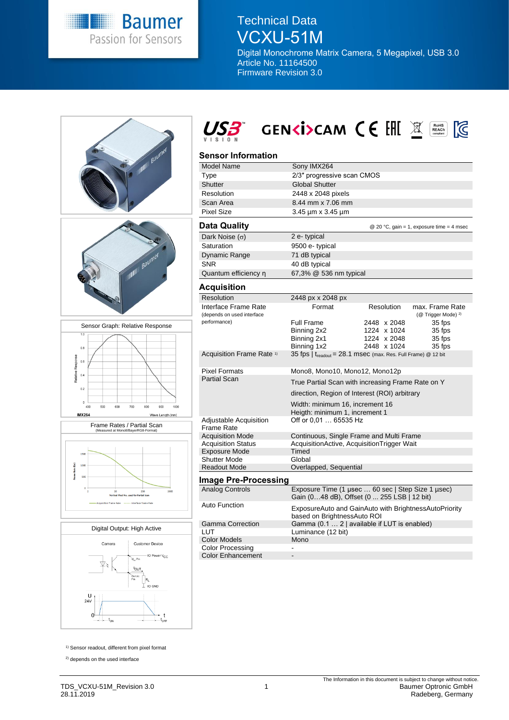

# Technical Data VCXU-51M

Digital Monochrome Matrix Camera, 5 Megapixel, USB 3.0 Article No. 11164500 Firmware Revision 3.0







# **Sensor Information**

| ווטווווטווווטווופט                                 |                                                                                                 |                   |                                                   |
|----------------------------------------------------|-------------------------------------------------------------------------------------------------|-------------------|---------------------------------------------------|
| <b>Model Name</b>                                  | Sony IMX264                                                                                     |                   |                                                   |
| Type                                               | 2/3" progressive scan CMOS                                                                      |                   |                                                   |
| Shutter                                            | <b>Global Shutter</b>                                                                           |                   |                                                   |
| Resolution                                         | 2448 x 2048 pixels                                                                              |                   |                                                   |
| Scan Area                                          | 8.44 mm x 7.06 mm                                                                               |                   |                                                   |
| <b>Pixel Size</b>                                  | 3.45 µm x 3.45 µm                                                                               |                   |                                                   |
| <b>Data Quality</b>                                |                                                                                                 |                   | @ 20 °C, gain = 1, exposure time = 4 msec         |
| Dark Noise $(\sigma)$                              | 2 e-typical                                                                                     |                   |                                                   |
| Saturation                                         | 9500 e- typical                                                                                 |                   |                                                   |
| Dynamic Range                                      | 71 dB typical                                                                                   |                   |                                                   |
| <b>SNR</b>                                         | 40 dB typical                                                                                   |                   |                                                   |
| Quantum efficiency n                               | 67,3% @ 536 nm typical                                                                          |                   |                                                   |
| Acquisition                                        |                                                                                                 |                   |                                                   |
| Resolution                                         | 2448 px x 2048 px                                                                               |                   |                                                   |
| Interface Frame Rate<br>(depends on used interface | Format                                                                                          | <b>Resolution</b> | max. Frame Rate<br>(@ Trigger Mode) <sup>2)</sup> |
| performance)                                       | <b>Full Frame</b>                                                                               | 2448 x 2048       | 35 fps                                            |
|                                                    | Binning 2x2                                                                                     | 1224 x 1024       | 35 fps                                            |
|                                                    | Binning 2x1                                                                                     | 1224 x 2048       | 35 fps                                            |
|                                                    | Binning 1x2                                                                                     | 2448 x 1024       | 35 fps                                            |
| Acquisition Frame Rate <sup>1)</sup>               | 35 fps $\mid$ t <sub>readout</sub> = 28.1 msec (max. Res. Full Frame) @ 12 bit                  |                   |                                                   |
| <b>Pixel Formats</b>                               | Mono8, Mono10, Mono12, Mono12p                                                                  |                   |                                                   |
| <b>Partial Scan</b>                                | True Partial Scan with increasing Frame Rate on Y                                               |                   |                                                   |
|                                                    | direction, Region of Interest (ROI) arbitrary                                                   |                   |                                                   |
|                                                    | Width: minimum 16, increment 16                                                                 |                   |                                                   |
|                                                    | Heigth: minimum 1, increment 1                                                                  |                   |                                                   |
| Adjustable Acquisition<br><b>Frame Rate</b>        | Off or 0,01  65535 Hz                                                                           |                   |                                                   |
| <b>Acquisition Mode</b>                            | Continuous, Single Frame and Multi Frame                                                        |                   |                                                   |
| <b>Acquisition Status</b>                          | AcquisitionActive, AcquisitionTrigger Wait                                                      |                   |                                                   |
| <b>Exposure Mode</b>                               | Timed                                                                                           |                   |                                                   |
| <b>Shutter Mode</b>                                | Global                                                                                          |                   |                                                   |
| <b>Readout Mode</b>                                | Overlapped, Sequential                                                                          |                   |                                                   |
| Image Pre-Processing                               |                                                                                                 |                   |                                                   |
| <b>Analog Controls</b>                             | Exposure Time (1 usec  60 sec   Step Size 1 usec)<br>Gain (048 dB), Offset (0 255 LSB   12 bit) |                   |                                                   |
| Auto Function                                      | ExposureAuto and GainAuto with BrightnessAutoPriority<br>based on BrightnessAuto ROI            |                   |                                                   |
| <b>Gamma Correction</b>                            | Gamma (0.1  2   available if LUT is enabled)                                                    |                   |                                                   |

1) Sensor readout, different from pixel format

2) depends on the used interface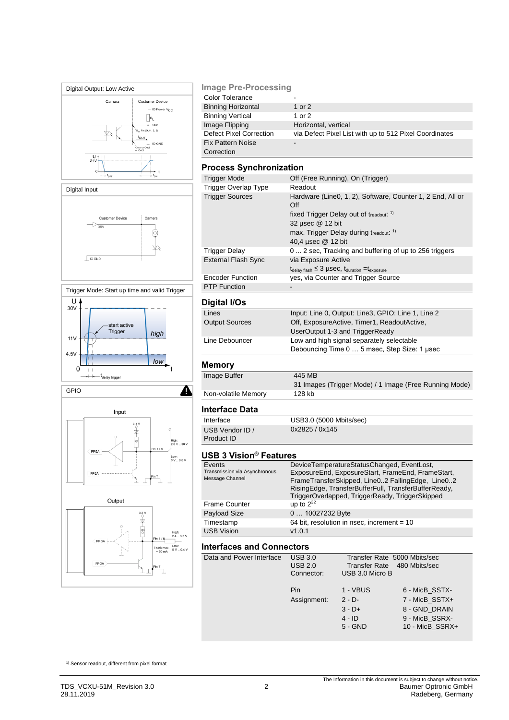

## **Image Pre-Processing**

| <b>Color Tolerance</b>         | -                                                      |
|--------------------------------|--------------------------------------------------------|
| <b>Binning Horizontal</b>      | 1 or $2$                                               |
| <b>Binning Vertical</b>        | 1 or 2                                                 |
| Image Flipping                 | Horizontal, vertical                                   |
| <b>Defect Pixel Correction</b> | via Defect Pixel List with up to 512 Pixel Coordinates |
| <b>Fix Pattern Noise</b>       | $\overline{\phantom{0}}$                               |
| Correction                     |                                                        |

# **Process Synchronization**

| Off (Free Running), On (Trigger)                                                  |
|-----------------------------------------------------------------------------------|
| Readout                                                                           |
| Hardware (Line0, 1, 2), Software, Counter 1, 2 End, All or<br>Off                 |
| fixed Trigger Delay out of treadout: 1)                                           |
| 32 µsec @ 12 bit                                                                  |
| max. Trigger Delay during treadout: 1)                                            |
| 40,4 µsec @ 12 bit                                                                |
| 0  2 sec, Tracking and buffering of up to 256 triggers                            |
| via Exposure Active                                                               |
| $t_{\text{delay flash}} \leq 3$ µSeC, $t_{\text{duration}} = t_{\text{exposure}}$ |
| yes, via Counter and Trigger Source                                               |
|                                                                                   |
|                                                                                   |

| Digital I/Os          |                                                    |
|-----------------------|----------------------------------------------------|
| Lines                 | Input: Line 0, Output: Line3, GPIO: Line 1, Line 2 |
| <b>Output Sources</b> | Off, ExposureActive, Timer1, ReadoutActive,        |
|                       | UserOutput 1-3 and TriggerReady                    |
| Line Debouncer        | Low and high signal separately selectable          |
|                       | Debouncing Time 0  5 msec, Step Size: 1 usec       |
|                       |                                                    |

# **Memory**

| Image Buffer        | 445 MB                                                 |
|---------------------|--------------------------------------------------------|
|                     | 31 Images (Trigger Mode) / 1 Image (Free Running Mode) |
| Non-volatile Memory | 128 kb                                                 |

# **Interface Data**

Interface USB3.0 (5000 Mbits/sec) USB Vendor ID / Product ID

|  |  |  | <b>USB 3 Vision<sup>®</sup> Features</b> |
|--|--|--|------------------------------------------|
|--|--|--|------------------------------------------|

| Events<br>Transmission via Asynchronous<br>Message Channel | DeviceTemperatureStatusChanged, EventLost,<br>ExposureEnd, ExposureStart, FrameEnd, FrameStart,<br>FrameTransferSkipped, Line02 FallingEdge, Line02<br>RisingEdge, TransferBufferFull, TransferBufferReady,<br>TriggerOverlapped, TriggerReady, TriggerSkipped |
|------------------------------------------------------------|----------------------------------------------------------------------------------------------------------------------------------------------------------------------------------------------------------------------------------------------------------------|
| <b>Frame Counter</b>                                       | up to $2^{32}$                                                                                                                                                                                                                                                 |
| Payload Size                                               | 0  10027232 Byte                                                                                                                                                                                                                                               |
| Timestamp                                                  | 64 bit, resolution in nsec, increment = 10                                                                                                                                                                                                                     |
| <b>USB Vision</b>                                          | v1.0.1                                                                                                                                                                                                                                                         |

0x2825 / 0x145

### **Interfaces and Connectors**

| Data and Power Interface | <b>USB 3.0</b><br><b>USB 2.0</b><br>Connector: | Transfer Rate 5000 Mbits/sec<br>Transfer Rate 480 Mbits/sec<br>USB 3.0 Micro B |                                                                                        |
|--------------------------|------------------------------------------------|--------------------------------------------------------------------------------|----------------------------------------------------------------------------------------|
|                          | <b>Pin</b><br>Assignment:                      | 1 - VBUS<br>$2 - D -$<br>$3 - D +$<br>$4 - ID$<br>$5 - GND$                    | 6 - MicB SSTX-<br>7 - MicB SSTX+<br>8 - GND DRAIN<br>9 - MicB SSRX-<br>10 - MicB SSRX+ |
|                          |                                                |                                                                                |                                                                                        |

1) Sensor readout, different from pixel format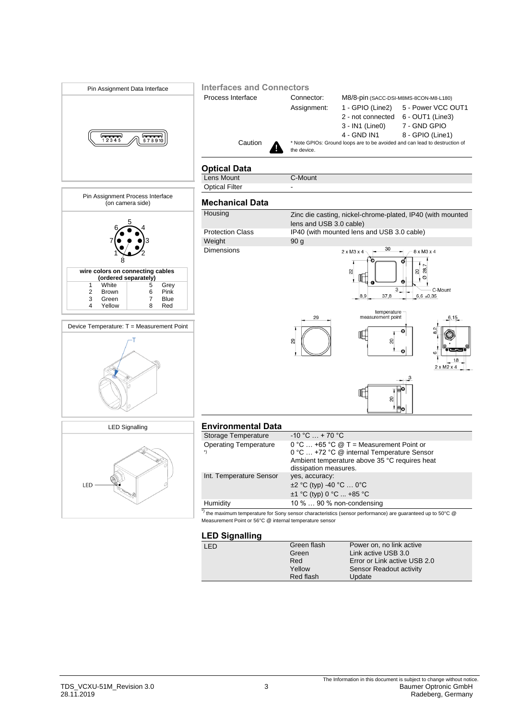

### **LED Signalling**

| . . |             |                              |
|-----|-------------|------------------------------|
| LED | Green flash | Power on, no link active     |
|     | Green       | Link active USB 3.0          |
|     | Red         | Error or Link active USB 2.0 |
|     | Yellow      | Sensor Readout activity      |
|     | Red flash   | Update                       |
|     |             |                              |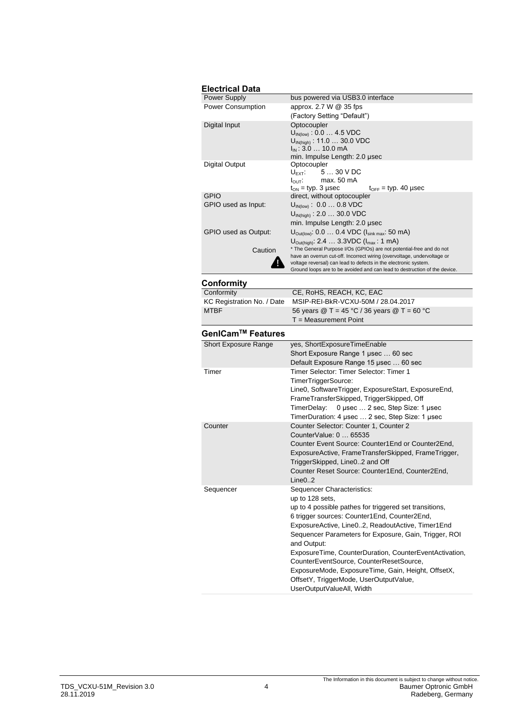| <b>Electrical Data</b>   |                                                                                                                                            |  |  |
|--------------------------|--------------------------------------------------------------------------------------------------------------------------------------------|--|--|
| <b>Power Supply</b>      | bus powered via USB3.0 interface                                                                                                           |  |  |
| <b>Power Consumption</b> | approx. 2.7 W $@$ 35 fps                                                                                                                   |  |  |
|                          | (Factory Setting "Default")                                                                                                                |  |  |
| Digital Input            | Optocoupler                                                                                                                                |  |  |
|                          | $U_{\text{IN(low)}}$ : 0.0  4.5 VDC                                                                                                        |  |  |
|                          | $U_{IN(high)}$ : 11.0  30.0 VDC                                                                                                            |  |  |
|                          | $I_{IN}$ : 3.0  10.0 mA<br>min. Impulse Length: 2.0 usec                                                                                   |  |  |
| Digital Output           | Optocoupler                                                                                                                                |  |  |
|                          | $U_{\text{EXT}}$ 5  30 V DC                                                                                                                |  |  |
|                          | $I_{\text{OUT}}$ : max. 50 mA                                                                                                              |  |  |
|                          | $t_{ON}$ = typ. 3 µsec<br>$t_{\text{OFF}}$ = typ. 40 µsec                                                                                  |  |  |
| <b>GPIO</b>              | direct, without optocoupler                                                                                                                |  |  |
| GPIO used as Input:      | $U_{\text{IN(low)}}$ : 0.0  0.8 VDC                                                                                                        |  |  |
|                          | $U_{\text{IN(high)}}$ : 2.0  30.0 VDC                                                                                                      |  |  |
|                          | min. Impulse Length: 2.0 usec                                                                                                              |  |  |
| GPIO used as Output:     | $U_{\text{Out(low)}}$ : 0.0  0.4 VDC ( $I_{\text{sink max}}$ : 50 mA)                                                                      |  |  |
|                          | $U_{\text{Out(high)}}$ : 2.4 $\dots$ 3.3VDC ( $I_{\text{max}}$ : 1 mA)                                                                     |  |  |
| Caution                  | * The General Purpose I/Os (GPIOs) are not potential-free and do not                                                                       |  |  |
|                          | have an overrun cut-off. Incorrect wiring (overvoltage, undervoltage or<br>voltage reversal) can lead to defects in the electronic system. |  |  |
|                          | Ground loops are to be avoided and can lead to destruction of the device.                                                                  |  |  |

# **Conformity**

| Conformity                    | CE, RoHS, REACH, KC, EAC                                                                         |  |
|-------------------------------|--------------------------------------------------------------------------------------------------|--|
| KC Registration No. / Date    | MSIP-REI-BkR-VCXU-50M / 28.04.2017                                                               |  |
| <b>MTBF</b>                   | 56 years $\textcircled{2}$ T = 45 °C / 36 years $\textcircled{2}$ T = 60 °C                      |  |
|                               | $T = Measurement$ Point                                                                          |  |
| GenICam <sup>™</sup> Features |                                                                                                  |  |
| <b>Short Exposure Range</b>   | yes, ShortExposureTimeEnable                                                                     |  |
|                               | Short Exposure Range 1 usec  60 sec                                                              |  |
|                               | Default Exposure Range 15 usec  60 sec                                                           |  |
| Timer                         | Timer Selector: Timer Selector: Timer 1                                                          |  |
|                               | TimerTriggerSource:                                                                              |  |
|                               | Line0, SoftwareTrigger, ExposureStart, ExposureEnd,<br>FrameTransferSkipped, TriggerSkipped, Off |  |
|                               | 0 µsec  2 sec, Step Size: 1 µsec<br>TimerDelay:                                                  |  |
|                               | TimerDuration: 4 usec  2 sec. Step Size: 1 usec                                                  |  |
| Counter                       | Counter Selector: Counter 1, Counter 2                                                           |  |
|                               | CounterValue: 0  65535                                                                           |  |
|                               | Counter Event Source: Counter1 End or Counter2 End.                                              |  |
|                               | ExposureActive, FrameTransferSkipped, FrameTrigger,                                              |  |
|                               | TriggerSkipped, Line02 and Off                                                                   |  |
|                               | Counter Reset Source: Counter1End, Counter2End,                                                  |  |
|                               | Line 0.2                                                                                         |  |
| Sequencer                     | Sequencer Characteristics:                                                                       |  |
|                               | up to 128 sets,                                                                                  |  |
|                               | up to 4 possible pathes for triggered set transitions,                                           |  |
|                               | 6 trigger sources: Counter1End, Counter2End,                                                     |  |
|                               | ExposureActive, Line02, ReadoutActive, Timer1End                                                 |  |
|                               | Sequencer Parameters for Exposure, Gain, Trigger, ROI                                            |  |
|                               | and Output:                                                                                      |  |
|                               | ExposureTime, CounterDuration, CounterEventActivation,                                           |  |
|                               | CounterEventSource, CounterResetSource,                                                          |  |
|                               | ExposureMode, ExposureTime, Gain, Height, OffsetX,                                               |  |
|                               | OffsetY, TriggerMode, UserOutputValue,                                                           |  |
|                               | UserOutputValueAll, Width                                                                        |  |